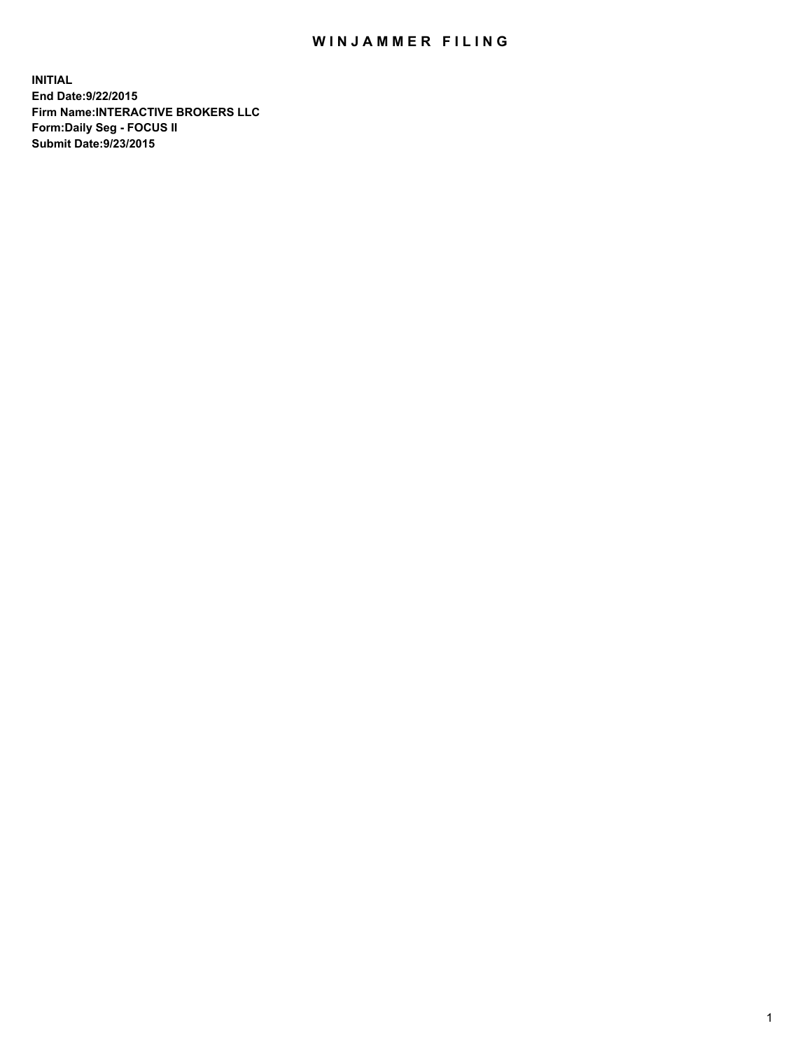## WIN JAMMER FILING

**INITIAL End Date:9/22/2015 Firm Name:INTERACTIVE BROKERS LLC Form:Daily Seg - FOCUS II Submit Date:9/23/2015**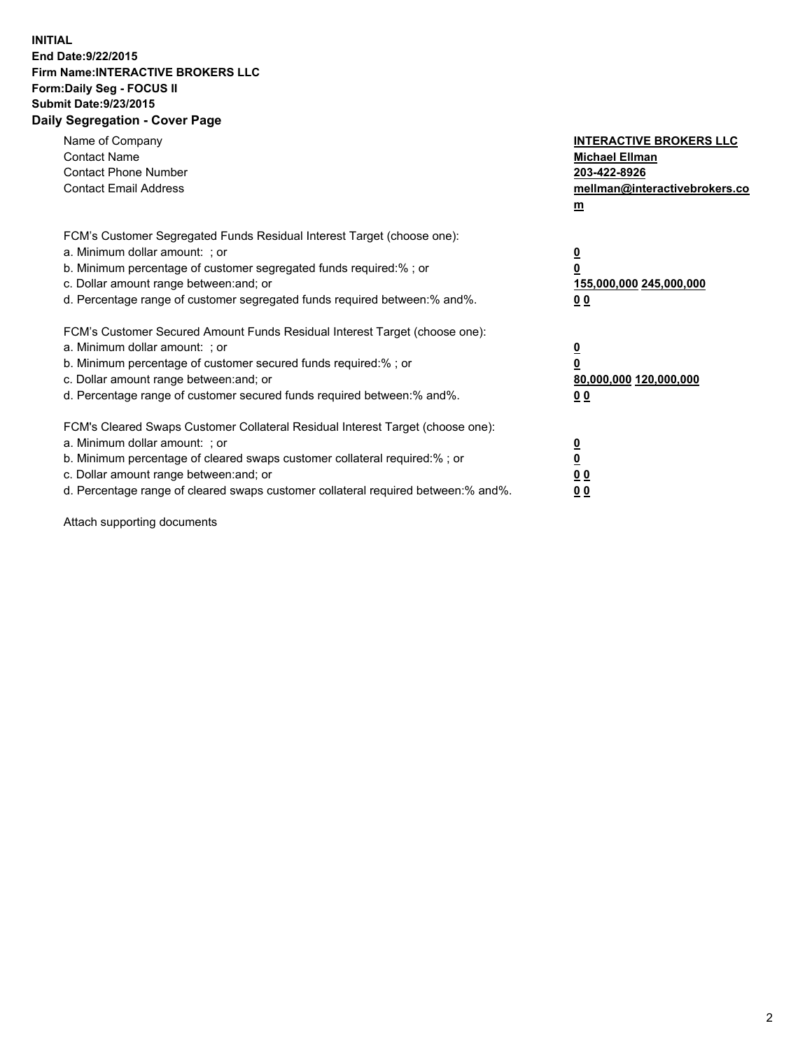## **INITIAL End Date:9/22/2015 Firm Name:INTERACTIVE BROKERS LLC Form:Daily Seg - FOCUS II Submit Date:9/23/2015 Daily Segregation - Cover Page**

| Name of Company<br><b>Contact Name</b><br><b>Contact Phone Number</b><br><b>Contact Email Address</b>                                                                                                                                                                                                                          | <b>INTERACTIVE BROKERS LLC</b><br><b>Michael Ellman</b><br>203-422-8926<br>mellman@interactivebrokers.co<br>$m$ |
|--------------------------------------------------------------------------------------------------------------------------------------------------------------------------------------------------------------------------------------------------------------------------------------------------------------------------------|-----------------------------------------------------------------------------------------------------------------|
| FCM's Customer Segregated Funds Residual Interest Target (choose one):<br>a. Minimum dollar amount: ; or<br>b. Minimum percentage of customer segregated funds required:% ; or<br>c. Dollar amount range between: and; or<br>d. Percentage range of customer segregated funds required between: % and %.                       | $\overline{\mathbf{0}}$<br>0<br>155,000,000 245,000,000<br>00                                                   |
| FCM's Customer Secured Amount Funds Residual Interest Target (choose one):<br>a. Minimum dollar amount: ; or<br>b. Minimum percentage of customer secured funds required:%; or<br>c. Dollar amount range between: and; or<br>d. Percentage range of customer secured funds required between: % and %.                          | $\overline{\mathbf{0}}$<br>0<br>80,000,000 120,000,000<br>0 <sub>0</sub>                                        |
| FCM's Cleared Swaps Customer Collateral Residual Interest Target (choose one):<br>a. Minimum dollar amount: ; or<br>b. Minimum percentage of cleared swaps customer collateral required:% ; or<br>c. Dollar amount range between: and; or<br>d. Percentage range of cleared swaps customer collateral required between:% and%. | $\overline{\mathbf{0}}$<br>$\underline{\mathbf{0}}$<br>0 <sub>0</sub><br>0 <sub>0</sub>                         |

Attach supporting documents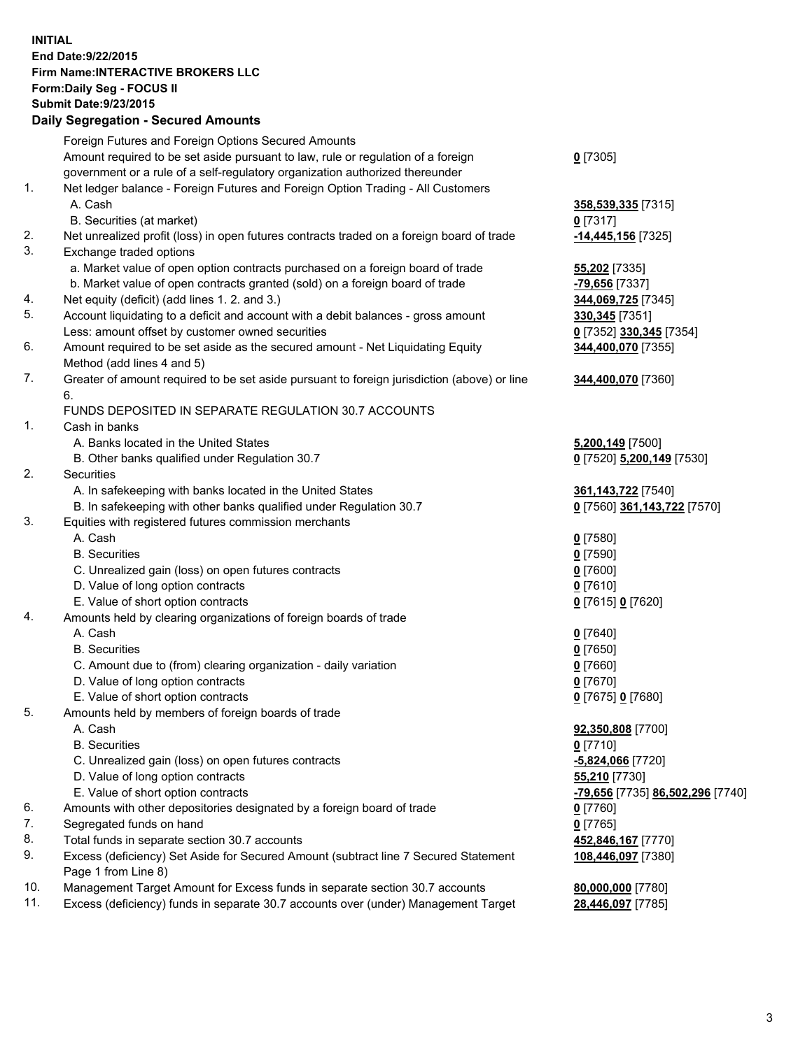## **INITIAL End Date:9/22/2015 Firm Name:INTERACTIVE BROKERS LLC Form:Daily Seg - FOCUS II Submit Date:9/23/2015 Daily Segregation - Secured Amounts**

|     | Daily Jegregation - Jeculed Aniounts                                                                       |                                  |
|-----|------------------------------------------------------------------------------------------------------------|----------------------------------|
|     | Foreign Futures and Foreign Options Secured Amounts                                                        |                                  |
|     | Amount required to be set aside pursuant to law, rule or regulation of a foreign                           | $0$ [7305]                       |
|     | government or a rule of a self-regulatory organization authorized thereunder                               |                                  |
| 1.  | Net ledger balance - Foreign Futures and Foreign Option Trading - All Customers                            |                                  |
|     | A. Cash                                                                                                    | 358,539,335 [7315]               |
|     | B. Securities (at market)                                                                                  | $0$ [7317]                       |
| 2.  | Net unrealized profit (loss) in open futures contracts traded on a foreign board of trade                  | -14,445,156 [7325]               |
| 3.  | Exchange traded options                                                                                    |                                  |
|     | a. Market value of open option contracts purchased on a foreign board of trade                             | <b>55,202</b> [7335]             |
|     | b. Market value of open contracts granted (sold) on a foreign board of trade                               | -79,656 [7337]                   |
| 4.  | Net equity (deficit) (add lines 1.2. and 3.)                                                               | 344,069,725 [7345]               |
| 5.  | Account liquidating to a deficit and account with a debit balances - gross amount                          | 330, 345 [7351]                  |
|     | Less: amount offset by customer owned securities                                                           | 0 [7352] 330,345 [7354]          |
| 6.  | Amount required to be set aside as the secured amount - Net Liquidating Equity                             | 344,400,070 [7355]               |
|     | Method (add lines 4 and 5)                                                                                 |                                  |
| 7.  | Greater of amount required to be set aside pursuant to foreign jurisdiction (above) or line                | 344,400,070 [7360]               |
|     | 6.                                                                                                         |                                  |
|     | FUNDS DEPOSITED IN SEPARATE REGULATION 30.7 ACCOUNTS                                                       |                                  |
| 1.  | Cash in banks                                                                                              |                                  |
|     | A. Banks located in the United States                                                                      | 5,200,149 [7500]                 |
|     | B. Other banks qualified under Regulation 30.7                                                             | 0 [7520] 5,200,149 [7530]        |
| 2.  | Securities                                                                                                 |                                  |
|     | A. In safekeeping with banks located in the United States                                                  | 361, 143, 722 [7540]             |
|     | B. In safekeeping with other banks qualified under Regulation 30.7                                         | 0 [7560] 361,143,722 [7570]      |
| 3.  | Equities with registered futures commission merchants                                                      |                                  |
|     | A. Cash                                                                                                    | $0$ [7580]                       |
|     | <b>B.</b> Securities                                                                                       | $0$ [7590]                       |
|     | C. Unrealized gain (loss) on open futures contracts                                                        | $0$ [7600]                       |
|     | D. Value of long option contracts                                                                          | $0$ [7610]                       |
|     | E. Value of short option contracts                                                                         | 0 [7615] 0 [7620]                |
| 4.  | Amounts held by clearing organizations of foreign boards of trade                                          |                                  |
|     | A. Cash                                                                                                    | $0$ [7640]                       |
|     | <b>B.</b> Securities                                                                                       | $0$ [7650]                       |
|     | C. Amount due to (from) clearing organization - daily variation                                            | $0$ [7660]                       |
|     | D. Value of long option contracts                                                                          | $0$ [7670]                       |
|     | E. Value of short option contracts                                                                         | 0 [7675] 0 [7680]                |
| 5.  | Amounts held by members of foreign boards of trade                                                         |                                  |
|     | A. Cash                                                                                                    | 92,350,808 [7700]                |
|     | <b>B.</b> Securities                                                                                       | $0$ [7710]                       |
|     | C. Unrealized gain (loss) on open futures contracts                                                        | -5,824,066 [7720]                |
|     | D. Value of long option contracts                                                                          | 55,210 [7730]                    |
|     | E. Value of short option contracts                                                                         | -79,656 [7735] 86,502,296 [7740] |
| 6.  | Amounts with other depositories designated by a foreign board of trade                                     | 0 [7760]                         |
| 7.  | Segregated funds on hand                                                                                   | $0$ [7765]                       |
| 8.  | Total funds in separate section 30.7 accounts                                                              | 452,846,167 [7770]               |
| 9.  | Excess (deficiency) Set Aside for Secured Amount (subtract line 7 Secured Statement<br>Page 1 from Line 8) | 108,446,097 [7380]               |
| 10. | Management Target Amount for Excess funds in separate section 30.7 accounts                                | 80,000,000 [7780]                |
| 11. | Excess (deficiency) funds in separate 30.7 accounts over (under) Management Target                         | 28,446,097 [7785]                |
|     |                                                                                                            |                                  |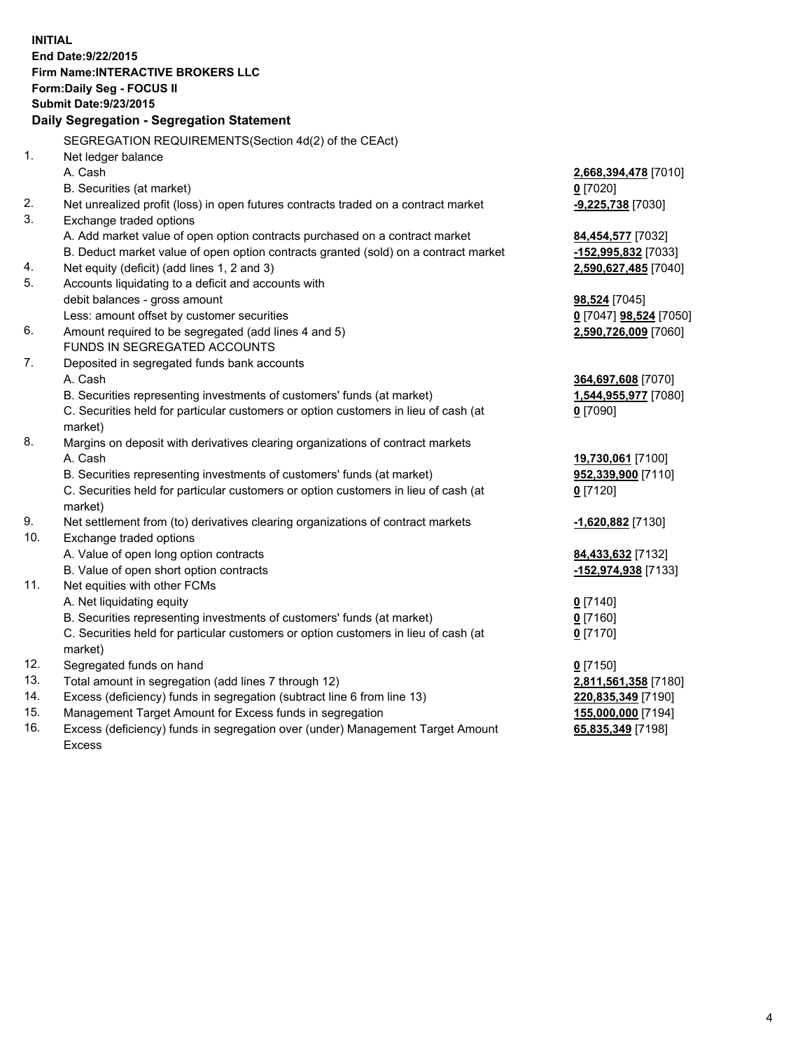**INITIAL End Date:9/22/2015 Firm Name:INTERACTIVE BROKERS LLC Form:Daily Seg - FOCUS II Submit Date:9/23/2015 Daily Segregation - Segregation Statement** SEGREGATION REQUIREMENTS(Section 4d(2) of the CEAct) 1. Net ledger balance A. Cash **2,668,394,478** [7010] B. Securities (at market) **0** [7020] 2. Net unrealized profit (loss) in open futures contracts traded on a contract market **-9,225,738** [7030] 3. Exchange traded options A. Add market value of open option contracts purchased on a contract market **84,454,577** [7032] B. Deduct market value of open option contracts granted (sold) on a contract market **-152,995,832** [7033] 4. Net equity (deficit) (add lines 1, 2 and 3) **2,590,627,485** [7040] 5. Accounts liquidating to a deficit and accounts with debit balances - gross amount **98,524** [7045] Less: amount offset by customer securities **0** [7047] **98,524** [7050] 6. Amount required to be segregated (add lines 4 and 5) **2,590,726,009** [7060] FUNDS IN SEGREGATED ACCOUNTS 7. Deposited in segregated funds bank accounts A. Cash **364,697,608** [7070] B. Securities representing investments of customers' funds (at market) **1,544,955,977** [7080] C. Securities held for particular customers or option customers in lieu of cash (at market) **0** [7090] 8. Margins on deposit with derivatives clearing organizations of contract markets A. Cash **19,730,061** [7100] B. Securities representing investments of customers' funds (at market) **952,339,900** [7110] C. Securities held for particular customers or option customers in lieu of cash (at market) **0** [7120] 9. Net settlement from (to) derivatives clearing organizations of contract markets **-1,620,882** [7130] 10. Exchange traded options A. Value of open long option contracts **84,433,632** [7132] B. Value of open short option contracts **-152,974,938** [7133] 11. Net equities with other FCMs A. Net liquidating equity **0** [7140] B. Securities representing investments of customers' funds (at market) **0** [7160] C. Securities held for particular customers or option customers in lieu of cash (at market) **0** [7170] 12. Segregated funds on hand **0** [7150] 13. Total amount in segregation (add lines 7 through 12) **2,811,561,358** [7180] 14. Excess (deficiency) funds in segregation (subtract line 6 from line 13) **220,835,349** [7190] 15. Management Target Amount for Excess funds in segregation **155,000,000** [7194] 16. Excess (deficiency) funds in segregation over (under) Management Target Amount **65,835,349** [7198]

Excess